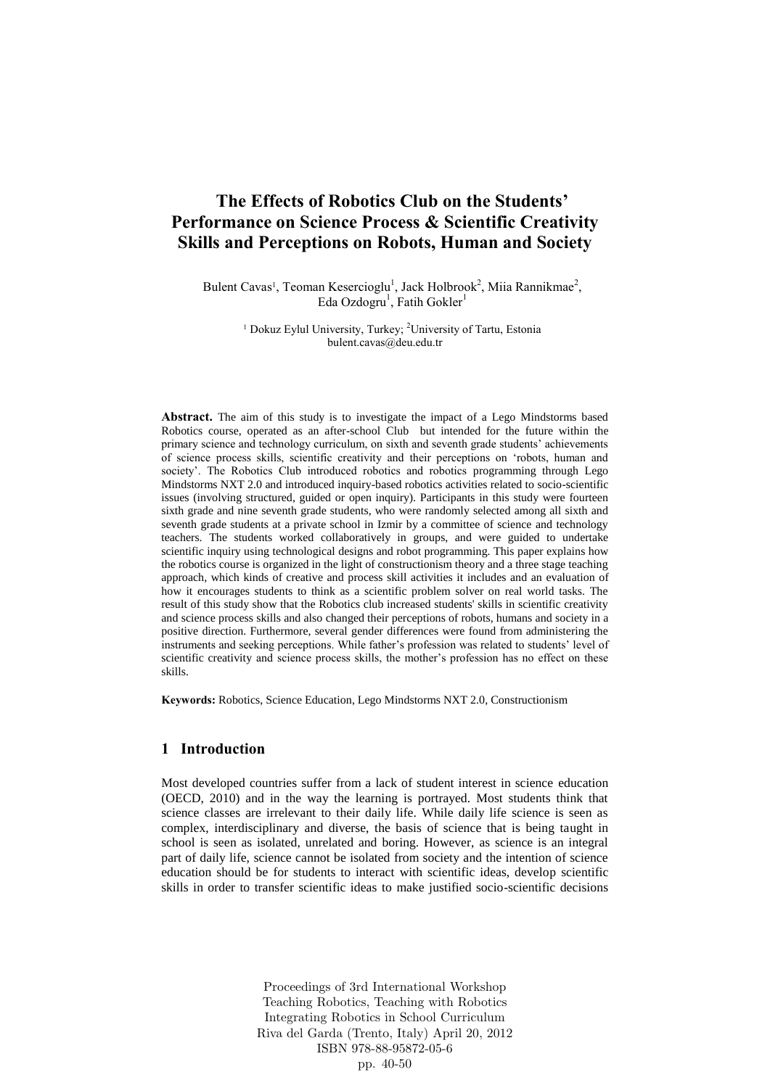# **The Effects of Robotics Club on the Students' Performance on Science Process & Scientific Creativity Skills and Perceptions on Robots, Human and Society**

Bulent Cavas<sup>1</sup>, Teoman Kesercioglu<sup>1</sup>, Jack Holbrook<sup>2</sup>, Miia Rannikmae<sup>2</sup>, Eda Ozdogru<sup>1</sup>, Fatih Gokler<sup>1</sup>

> <sup>1</sup> Dokuz Eylul University, Turkey; <sup>2</sup>University of Tartu, Estonia bulent.cavas@deu.edu.tr

**Abstract.** The aim of this study is to investigate the impact of a Lego Mindstorms based Robotics course, operated as an after-school Club but intended for the future within the primary science and technology curriculum, on sixth and seventh grade students' achievements of science process skills, scientific creativity and their perceptions on 'robots, human and society'. The Robotics Club introduced robotics and robotics programming through Lego Mindstorms NXT 2.0 and introduced inquiry-based robotics activities related to socio-scientific issues (involving structured, guided or open inquiry). Participants in this study were fourteen sixth grade and nine seventh grade students, who were randomly selected among all sixth and seventh grade students at a private school in Izmir by a committee of science and technology teachers. The students worked collaboratively in groups, and were guided to undertake scientific inquiry using technological designs and robot programming. This paper explains how the robotics course is organized in the light of constructionism theory and a three stage teaching approach, which kinds of creative and process skill activities it includes and an evaluation of how it encourages students to think as a scientific problem solver on real world tasks. The result of this study show that the Robotics club increased students' skills in scientific creativity and science process skills and also changed their perceptions of robots, humans and society in a positive direction. Furthermore, several gender differences were found from administering the instruments and seeking perceptions. While father's profession was related to students' level of scientific creativity and science process skills, the mother's profession has no effect on these skills.

**Keywords:** Robotics, Science Education, Lego Mindstorms NXT 2.0, Constructionism

## **1 Introduction**

Most developed countries suffer from a lack of student interest in science education (OECD, 2010) and in the way the learning is portrayed. Most students think that science classes are irrelevant to their daily life. While daily life science is seen as complex, interdisciplinary and diverse, the basis of science that is being taught in school is seen as isolated, unrelated and boring. However, as science is an integral part of daily life, science cannot be isolated from society and the intention of science education should be for students to interact with scientific ideas, develop scientific skills in order to transfer scientific ideas to make justified socio-scientific decisions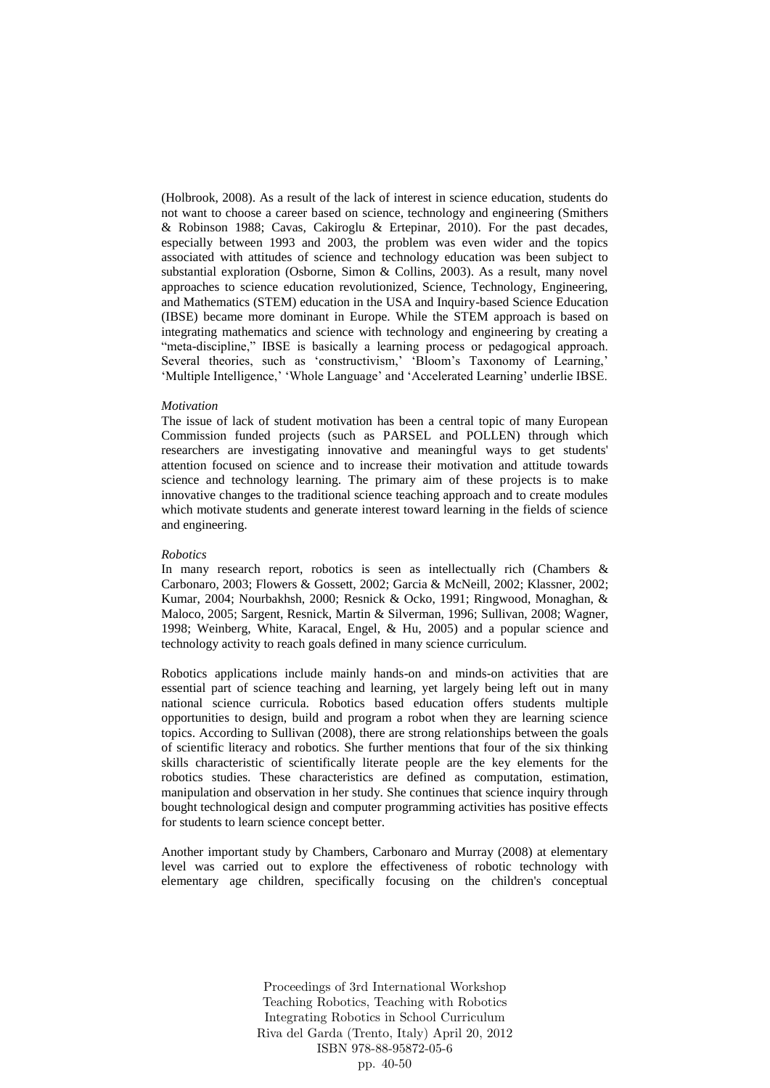(Holbrook, 2008). As a result of the lack of interest in science education, students do not want to choose a career based on science, technology and engineering (Smithers & Robinson 1988; Cavas, Cakiroglu & Ertepinar, 2010). For the past decades, especially between 1993 and 2003, the problem was even wider and the topics associated with attitudes of science and technology education was been subject to substantial exploration (Osborne, Simon & Collins, 2003). As a result, many novel approaches to science education revolutionized, Science, Technology, Engineering, and Mathematics (STEM) education in the USA and Inquiry-based Science Education (IBSE) became more dominant in Europe. While the STEM approach is based on integrating mathematics and science with technology and engineering by creating a "meta-discipline," IBSE is basically a learning process or pedagogical approach. Several theories, such as 'constructivism,' 'Bloom's Taxonomy of Learning,' 'Multiple Intelligence,' 'Whole Language' and 'Accelerated Learning' underlie IBSE.

#### *Motivation*

The issue of lack of student motivation has been a central topic of many European Commission funded projects (such as PARSEL and POLLEN) through which researchers are investigating innovative and meaningful ways to get students' attention focused on science and to increase their motivation and attitude towards science and technology learning. The primary aim of these projects is to make innovative changes to the traditional science teaching approach and to create modules which motivate students and generate interest toward learning in the fields of science and engineering.

#### *Robotics*

In many research report, robotics is seen as intellectually rich (Chambers & Carbonaro, 2003; Flowers & Gossett, 2002; Garcia & McNeill, 2002; Klassner, 2002; Kumar, 2004; Nourbakhsh, 2000; Resnick & Ocko, 1991; Ringwood, Monaghan, & Maloco, 2005; Sargent, Resnick, Martin & Silverman, 1996; Sullivan, 2008; Wagner, 1998; Weinberg, White, Karacal, Engel, & Hu, 2005) and a popular science and technology activity to reach goals defined in many science curriculum.

Robotics applications include mainly hands-on and minds-on activities that are essential part of science teaching and learning, yet largely being left out in many national science curricula. Robotics based education offers students multiple opportunities to design, build and program a robot when they are learning science topics. According to Sullivan (2008), there are strong relationships between the goals of scientific literacy and robotics. She further mentions that four of the six thinking skills characteristic of scientifically literate people are the key elements for the robotics studies. These characteristics are defined as computation, estimation, manipulation and observation in her study. She continues that science inquiry through bought technological design and computer programming activities has positive effects for students to learn science concept better.

Another important study by Chambers, Carbonaro and Murray (2008) at elementary level was carried out to explore the effectiveness of robotic technology with elementary age children, specifically focusing on the children's conceptual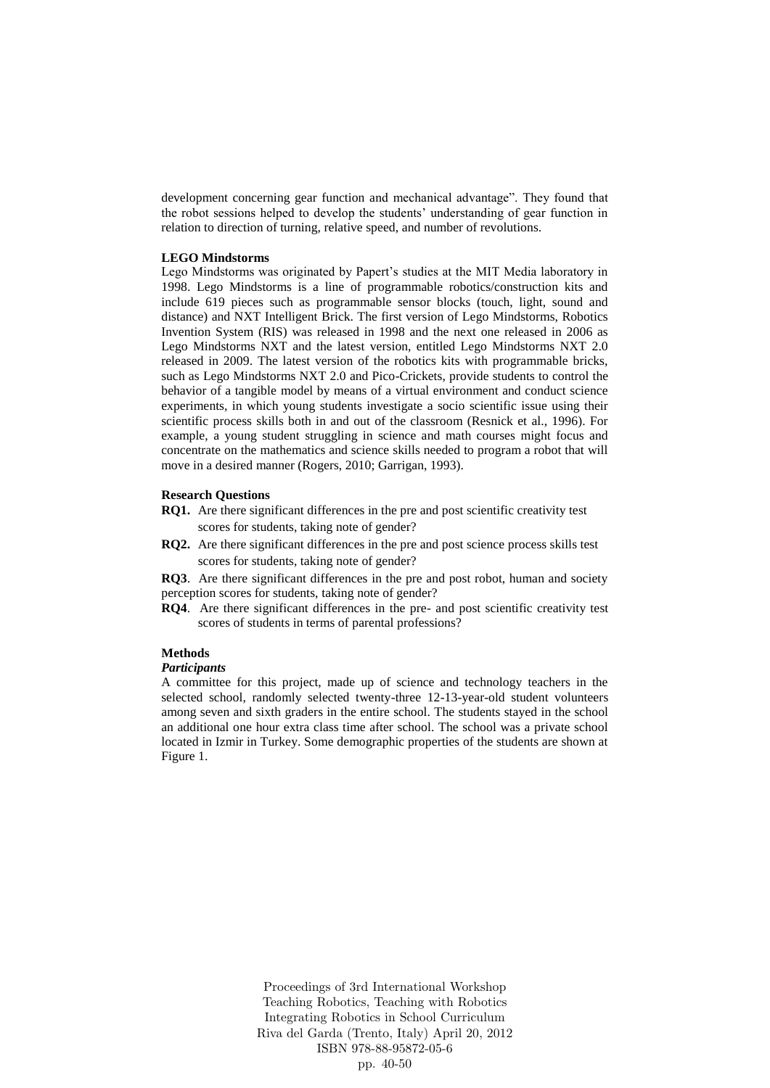development concerning gear function and mechanical advantage". They found that the robot sessions helped to develop the students' understanding of gear function in relation to direction of turning, relative speed, and number of revolutions.

#### **LEGO Mindstorms**

Lego Mindstorms was originated by Papert's studies at the MIT Media laboratory in 1998. Lego Mindstorms is a line of programmable robotics/construction kits and include 619 pieces such as programmable sensor blocks (touch, light, sound and distance) and NXT Intelligent Brick. The first version of Lego Mindstorms, Robotics Invention System (RIS) was released in 1998 and the next one released in 2006 as Lego Mindstorms NXT and the latest version, entitled Lego Mindstorms NXT 2.0 released in 2009. The latest version of the robotics kits with programmable bricks, such as Lego Mindstorms NXT 2.0 and Pico-Crickets, provide students to control the behavior of a tangible model by means of a virtual environment and conduct science experiments, in which young students investigate a socio scientific issue using their scientific process skills both in and out of the classroom (Resnick et al., 1996). For example, a young student struggling in science and math courses might focus and concentrate on the mathematics and science skills needed to program a robot that will move in a desired manner (Rogers, 2010; Garrigan, 1993).

#### **Research Questions**

- **RQ1.** Are there significant differences in the pre and post scientific creativity test scores for students, taking note of gender?
- **RQ2.** Are there significant differences in the pre and post science process skills test scores for students, taking note of gender?

**RQ3**. Are there significant differences in the pre and post robot, human and society perception scores for students, taking note of gender?

**RQ4**. Are there significant differences in the pre- and post scientific creativity test scores of students in terms of parental professions?

#### **Methods**

#### *Participants*

A committee for this project, made up of science and technology teachers in the selected school, randomly selected twenty-three 12-13-year-old student volunteers among seven and sixth graders in the entire school. The students stayed in the school an additional one hour extra class time after school. The school was a private school located in Izmir in Turkey. Some demographic properties of the students are shown at Figure 1.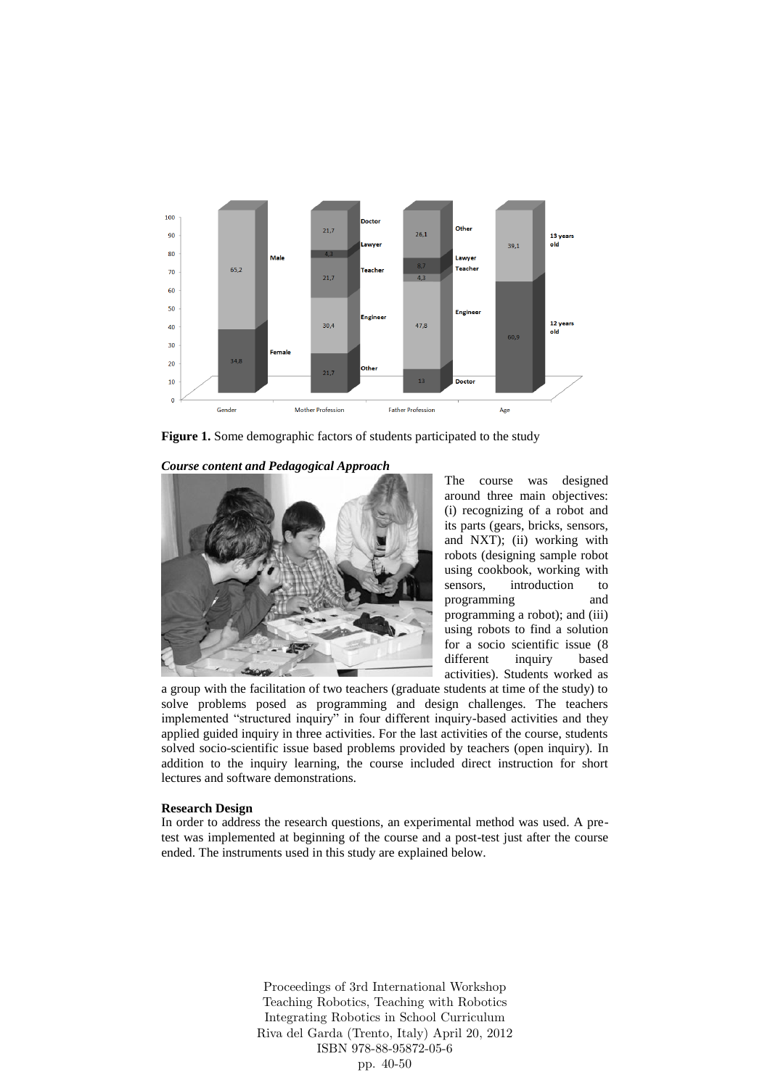

**Figure 1.** Some demographic factors of students participated to the study

*Course content and Pedagogical Approach* 



The course was designed around three main objectives: (i) recognizing of a robot and its parts (gears, bricks, sensors, and NXT); (ii) working with robots (designing sample robot using cookbook, working with sensors, introduction to programming and programming a robot); and (iii) using robots to find a solution for a socio scientific issue (8 different inquiry based activities). Students worked as

a group with the facilitation of two teachers (graduate students at time of the study) to solve problems posed as programming and design challenges. The teachers implemented "structured inquiry" in four different inquiry-based activities and they applied guided inquiry in three activities. For the last activities of the course, students solved socio-scientific issue based problems provided by teachers (open inquiry). In addition to the inquiry learning, the course included direct instruction for short lectures and software demonstrations.

#### **Research Design**

In order to address the research questions, an experimental method was used. A pretest was implemented at beginning of the course and a post-test just after the course ended. The instruments used in this study are explained below.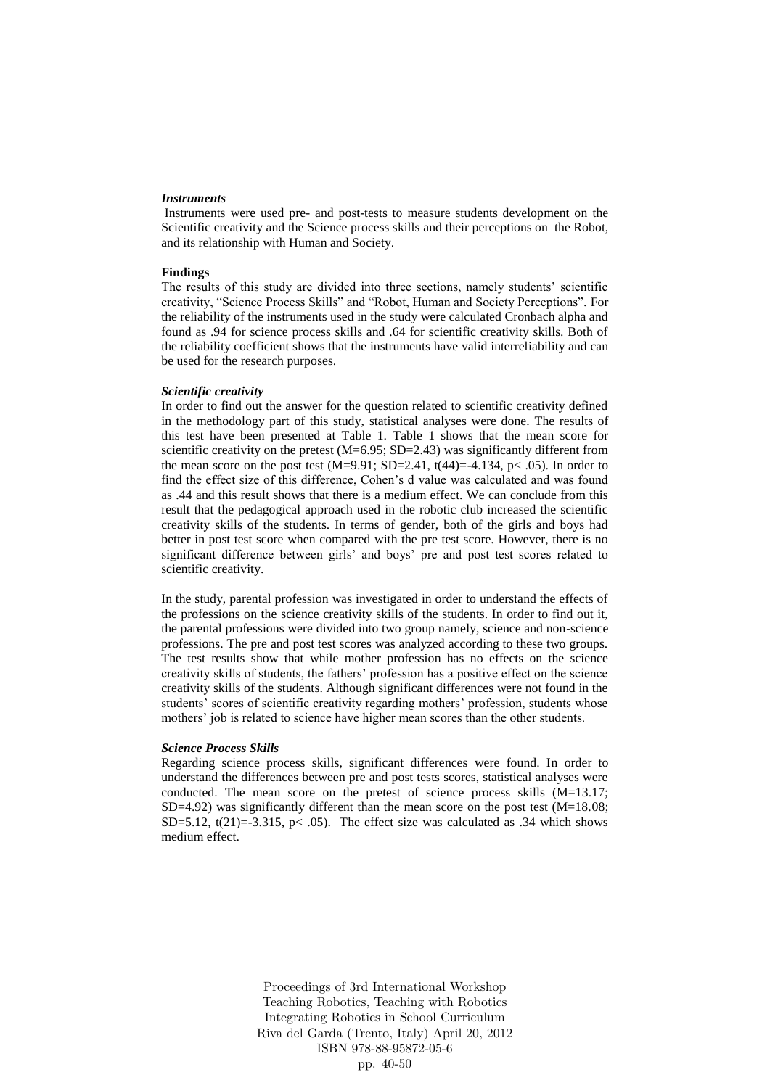#### *Instruments*

Instruments were used pre- and post-tests to measure students development on the Scientific creativity and the Science process skills and their perceptions on the Robot, and its relationship with Human and Society.

### **Findings**

The results of this study are divided into three sections, namely students' scientific creativity, "Science Process Skills" and "Robot, Human and Society Perceptions". For the reliability of the instruments used in the study were calculated Cronbach alpha and found as .94 for science process skills and .64 for scientific creativity skills. Both of the reliability coefficient shows that the instruments have valid interreliability and can be used for the research purposes.

#### *Scientific creativity*

In order to find out the answer for the question related to scientific creativity defined in the methodology part of this study, statistical analyses were done. The results of this test have been presented at Table 1. Table 1 shows that the mean score for scientific creativity on the pretest  $(M=6.95; SD=2.43)$  was significantly different from the mean score on the post test  $(M=9.91; SD=2.41, t(44)=-4.134, p< .05)$ . In order to find the effect size of this difference, Cohen's d value was calculated and was found as .44 and this result shows that there is a medium effect. We can conclude from this result that the pedagogical approach used in the robotic club increased the scientific creativity skills of the students. In terms of gender, both of the girls and boys had better in post test score when compared with the pre test score. However, there is no significant difference between girls' and boys' pre and post test scores related to scientific creativity.

In the study, parental profession was investigated in order to understand the effects of the professions on the science creativity skills of the students. In order to find out it, the parental professions were divided into two group namely, science and non-science professions. The pre and post test scores was analyzed according to these two groups. The test results show that while mother profession has no effects on the science creativity skills of students, the fathers' profession has a positive effect on the science creativity skills of the students. Although significant differences were not found in the students' scores of scientific creativity regarding mothers' profession, students whose mothers' job is related to science have higher mean scores than the other students.

#### *Science Process Skills*

Regarding science process skills, significant differences were found. In order to understand the differences between pre and post tests scores, statistical analyses were conducted. The mean score on the pretest of science process skills (M=13.17;  $SD=4.92$ ) was significantly different than the mean score on the post test (M=18.08; SD=5.12, t(21)=-3.315, p< .05). The effect size was calculated as .34 which shows medium effect.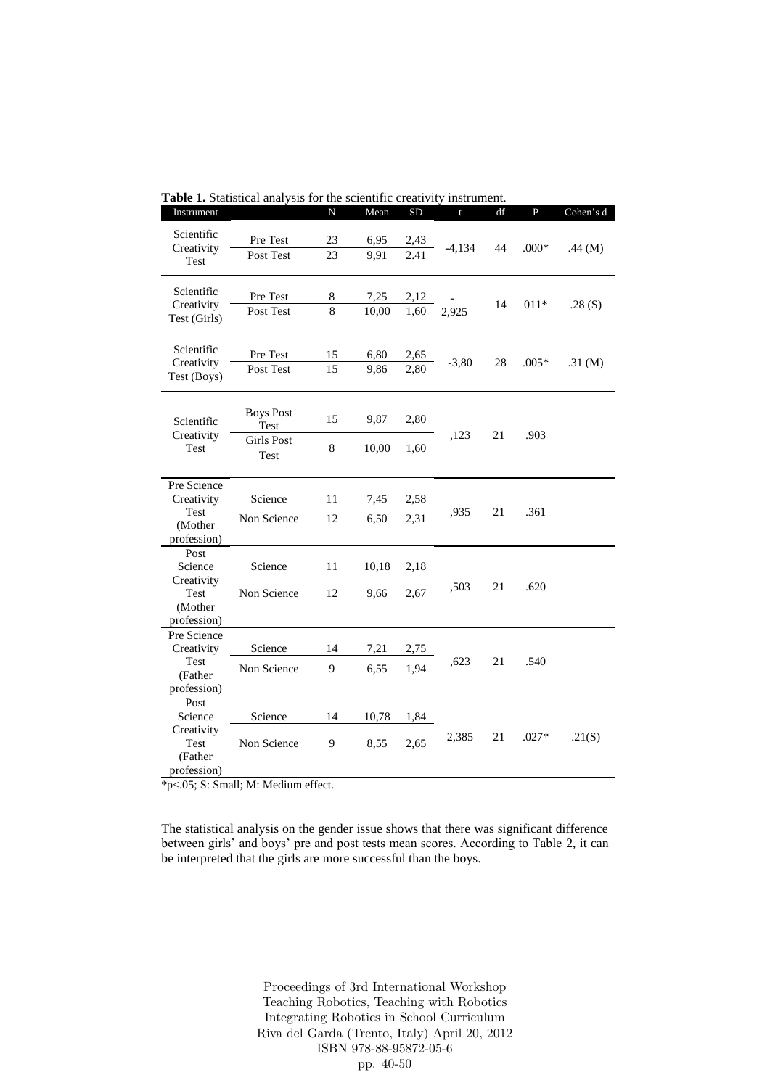|                                                                 |                                                              | 919 I.VI<br><b>UIL</b> |               | A Catterie   | mou umuni    |    |                |           |
|-----------------------------------------------------------------|--------------------------------------------------------------|------------------------|---------------|--------------|--------------|----|----------------|-----------|
| Instrument                                                      |                                                              | N                      | Mean          | <b>SD</b>    | $\mathbf{t}$ | df | $\overline{P}$ | Cohen's d |
| Scientific<br>Creativity<br>Test                                | Pre Test<br>Post Test                                        | 23<br>23               | 6,95<br>9,91  | 2,43<br>2.41 | $-4,134$     | 44 | $.000*$        | .44 $(M)$ |
| Scientific<br>Creativity<br>Test (Girls)                        | Pre Test<br>Post Test                                        | 8<br>8                 | 7,25<br>10,00 | 2,12<br>1,60 | 2,925        | 14 | $011*$         | .28(S)    |
| Scientific<br>Creativity<br>Test (Boys)                         | Pre Test<br>Post Test                                        | 15<br>15               | 6,80<br>9,86  | 2,65<br>2,80 | $-3,80$      | 28 | $.005*$        | .31 $(M)$ |
| Scientific<br>Creativity<br>Test                                | <b>Boys Post</b><br>Test<br><b>Girls Post</b><br><b>Test</b> | 15<br>$\,8\,$          | 9,87<br>10,00 | 2,80<br>1,60 | ,123         | 21 | .903           |           |
| Pre Science<br>Creativity<br>Test<br>(Mother<br>profession)     | Science<br>Non Science                                       | 11<br>12               | 7,45<br>6,50  | 2,58<br>2,31 | ,935         | 21 | .361           |           |
| Post<br>Science<br>Creativity<br>Test<br>(Mother<br>profession) | Science<br>Non Science                                       | 11<br>12               | 10,18<br>9,66 | 2,18<br>2,67 | ,503         | 21 | .620           |           |
| Pre Science<br>Creativity<br>Test<br>(Father<br>profession)     | Science<br>Non Science                                       | 14<br>9                | 7,21<br>6,55  | 2,75<br>1,94 | ,623         | 21 | .540           |           |
| Post<br>Science<br>Creativity<br>Test<br>(Father<br>profession) | Science<br>Non Science                                       | 14<br>9                | 10,78<br>8,55 | 1,84<br>2,65 | 2,385        | 21 | $.027*$        | .21(S)    |

**Table 1.** Statistical analysis for the scientific creativity instrument.

\*p<.05; S: Small; M: Medium effect.

The statistical analysis on the gender issue shows that there was significant difference between girls' and boys' pre and post tests mean scores. According to Table 2, it can be interpreted that the girls are more successful than the boys.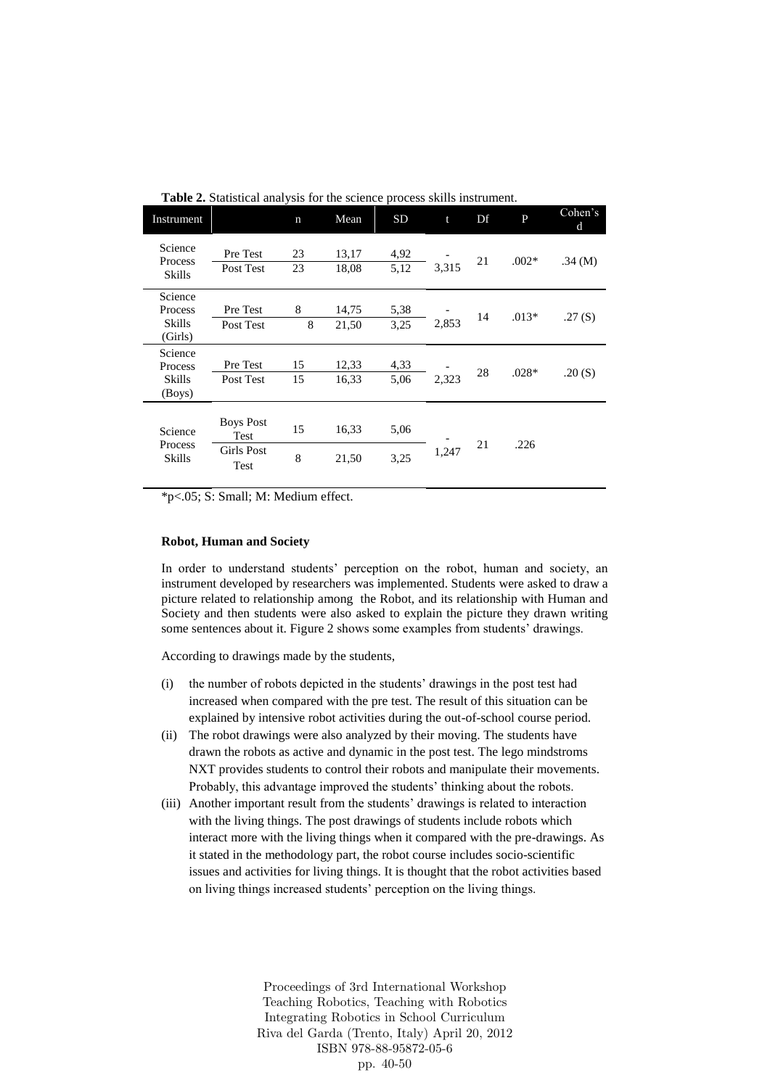| Instrument                              |                                                | $\mathbf n$ | Mean           | <b>SD</b>    | t     | Df | P       | Cohen's<br>d |
|-----------------------------------------|------------------------------------------------|-------------|----------------|--------------|-------|----|---------|--------------|
| Science<br>Process<br>Skills            | Pre Test<br>Post Test                          | 23<br>23    | 13,17<br>18,08 | 4,92<br>5,12 | 3,315 | 21 | $.002*$ | .34 $(M)$    |
| Science<br>Process<br>Skills<br>(Girls) | Pre Test<br>Post Test                          | 8<br>8      | 14,75<br>21,50 | 5,38<br>3,25 | 2,853 | 14 | $.013*$ | .27(S)       |
| Science<br>Process<br>Skills<br>(Boys)  | Pre Test<br>Post Test                          | 15<br>15    | 12,33<br>16,33 | 4,33<br>5,06 | 2,323 | 28 | $.028*$ | .20(S)       |
| Science<br><b>Process</b><br>Skills     | <b>Boys Post</b><br>Test<br>Girls Post<br>Test | 15<br>8     | 16,33<br>21,50 | 5,06<br>3,25 | 1,247 | 21 | .226    |              |

**Table 2.** Statistical analysis for the science process skills instrument.

\*p<.05; S: Small; M: Medium effect.

#### **Robot, Human and Society**

In order to understand students' perception on the robot, human and society, an instrument developed by researchers was implemented. Students were asked to draw a picture related to relationship among the Robot, and its relationship with Human and Society and then students were also asked to explain the picture they drawn writing some sentences about it. Figure 2 shows some examples from students' drawings.

According to drawings made by the students,

- (i) the number of robots depicted in the students' drawings in the post test had increased when compared with the pre test. The result of this situation can be explained by intensive robot activities during the out-of-school course period.
- (ii) The robot drawings were also analyzed by their moving. The students have drawn the robots as active and dynamic in the post test. The lego mindstroms NXT provides students to control their robots and manipulate their movements. Probably, this advantage improved the students' thinking about the robots.
- (iii) Another important result from the students' drawings is related to interaction with the living things. The post drawings of students include robots which interact more with the living things when it compared with the pre-drawings. As it stated in the methodology part, the robot course includes socio-scientific issues and activities for living things. It is thought that the robot activities based on living things increased students' perception on the living things.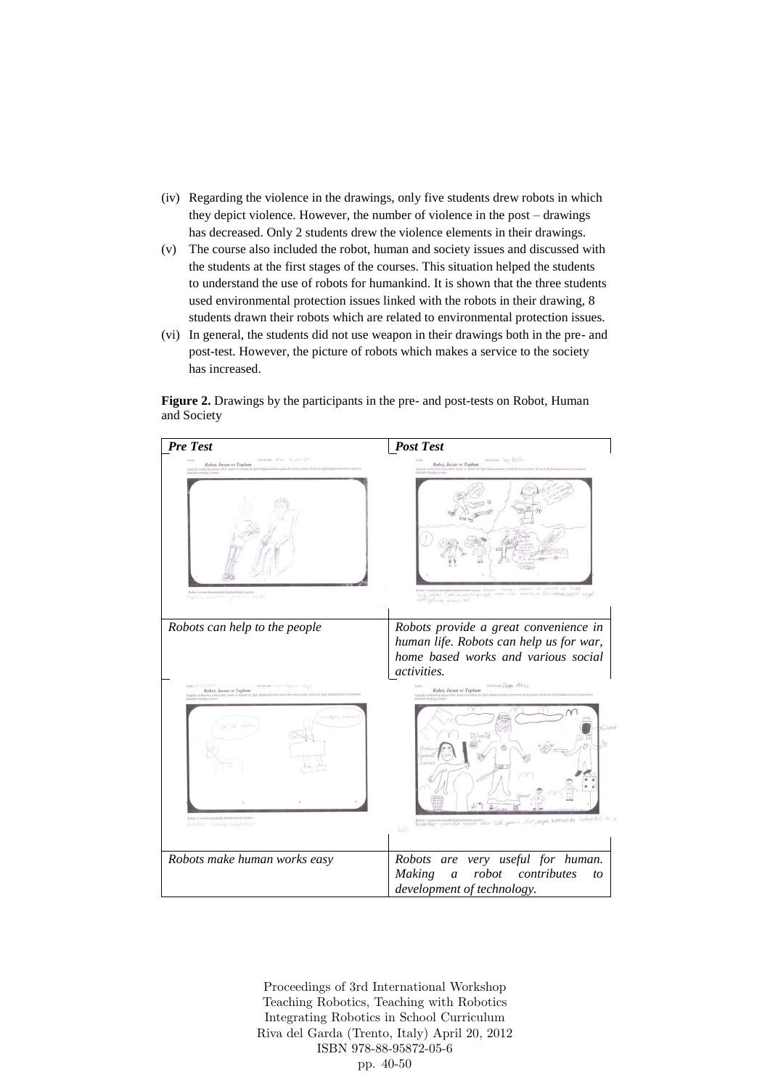- (iv) Regarding the violence in the drawings, only five students drew robots in which they depict violence. However, the number of violence in the post – drawings has decreased. Only 2 students drew the violence elements in their drawings.
- (v) The course also included the robot, human and society issues and discussed with the students at the first stages of the courses. This situation helped the students to understand the use of robots for humankind. It is shown that the three students used environmental protection issues linked with the robots in their drawing, 8 students drawn their robots which are related to environmental protection issues.
- (vi) In general, the students did not use weapon in their drawings both in the pre- and post-test. However, the picture of robots which makes a service to the society has increased.

**Figure 2.** Drawings by the participants in the pre- and post-tests on Robot, Human and Society

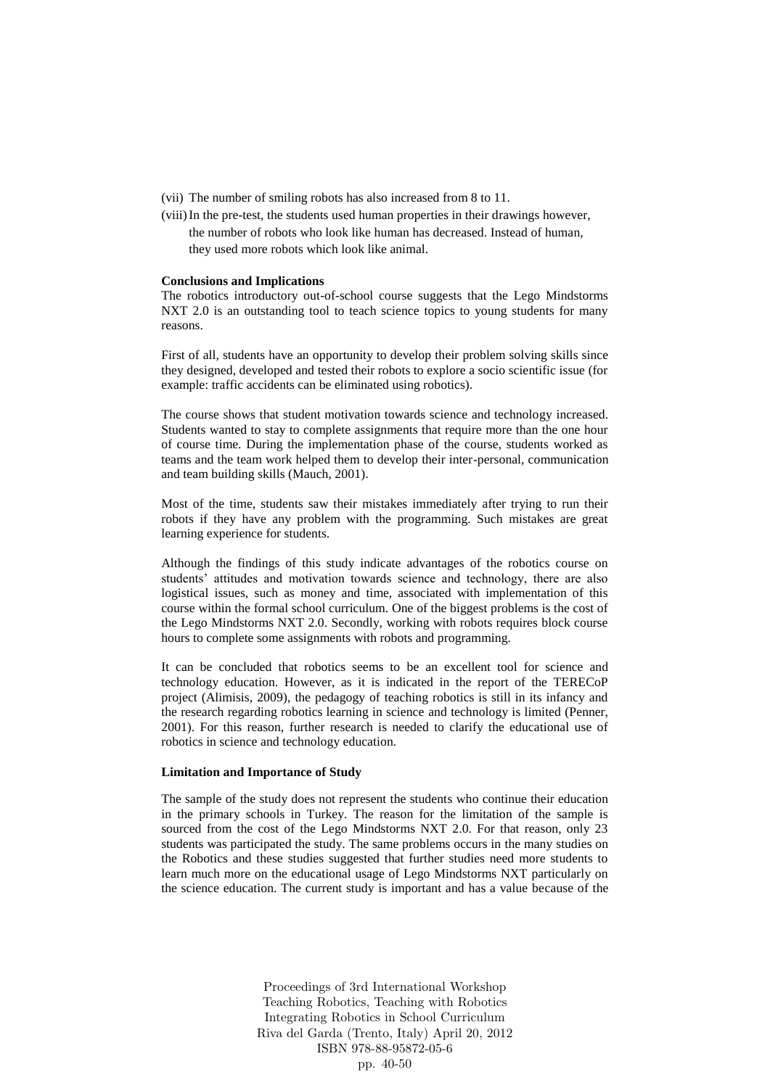- (vii) The number of smiling robots has also increased from 8 to 11.
- (viii)In the pre-test, the students used human properties in their drawings however, the number of robots who look like human has decreased. Instead of human, they used more robots which look like animal.

#### **Conclusions and Implications**

The robotics introductory out-of-school course suggests that the Lego Mindstorms NXT 2.0 is an outstanding tool to teach science topics to young students for many reasons.

First of all, students have an opportunity to develop their problem solving skills since they designed, developed and tested their robots to explore a socio scientific issue (for example: traffic accidents can be eliminated using robotics).

The course shows that student motivation towards science and technology increased. Students wanted to stay to complete assignments that require more than the one hour of course time. During the implementation phase of the course, students worked as teams and the team work helped them to develop their inter-personal, communication and team building skills (Mauch, 2001).

Most of the time, students saw their mistakes immediately after trying to run their robots if they have any problem with the programming. Such mistakes are great learning experience for students.

Although the findings of this study indicate advantages of the robotics course on students' attitudes and motivation towards science and technology, there are also logistical issues, such as money and time, associated with implementation of this course within the formal school curriculum. One of the biggest problems is the cost of the Lego Mindstorms NXT 2.0. Secondly, working with robots requires block course hours to complete some assignments with robots and programming.

It can be concluded that robotics seems to be an excellent tool for science and technology education. However, as it is indicated in the report of the TERECoP project (Alimisis, 2009), the pedagogy of teaching robotics is still in its infancy and the research regarding robotics learning in science and technology is limited (Penner, 2001). For this reason, further research is needed to clarify the educational use of robotics in science and technology education.

#### **Limitation and Importance of Study**

The sample of the study does not represent the students who continue their education in the primary schools in Turkey. The reason for the limitation of the sample is sourced from the cost of the Lego Mindstorms NXT 2.0. For that reason, only 23 students was participated the study. The same problems occurs in the many studies on the Robotics and these studies suggested that further studies need more students to learn much more on the educational usage of Lego Mindstorms NXT particularly on the science education. The current study is important and has a value because of the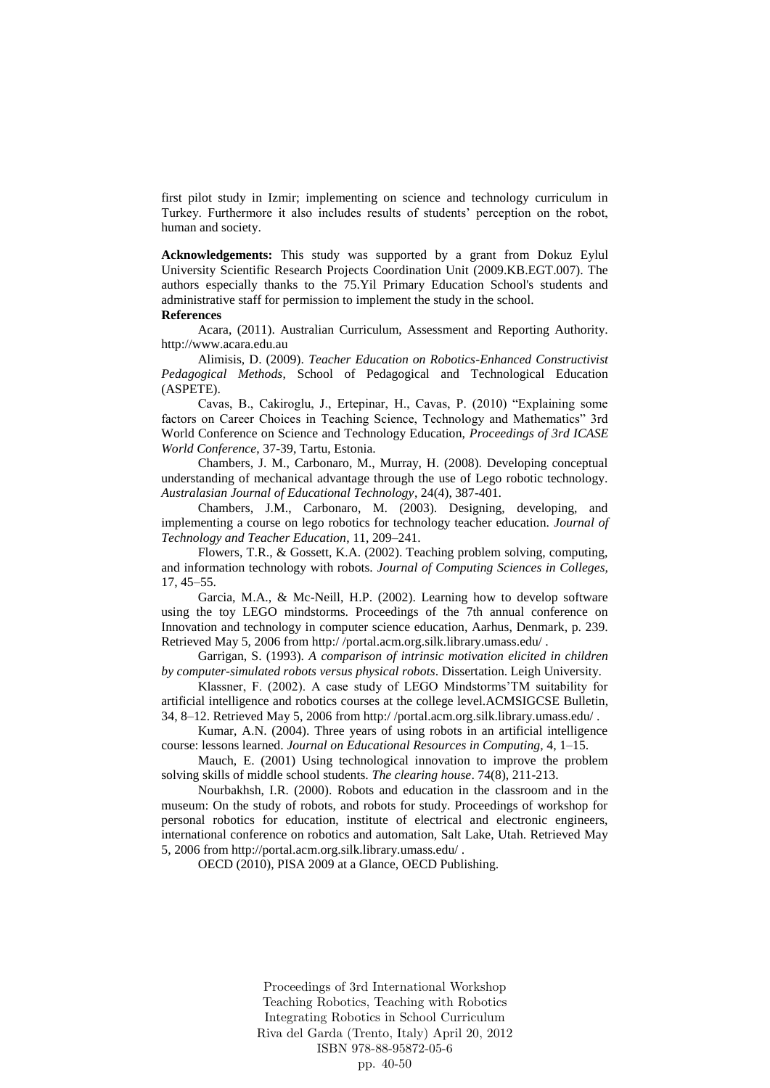first pilot study in Izmir; implementing on science and technology curriculum in Turkey. Furthermore it also includes results of students' perception on the robot, human and society.

**Acknowledgements:** This study was supported by a grant from Dokuz Eylul University Scientific Research Projects Coordination Unit (2009.KB.EGT.007). The authors especially thanks to the 75.Yil Primary Education School's students and administrative staff for permission to implement the study in the school.

### **References**

Acara, (2011). Australian Curriculum, Assessment and Reporting Authority. http://www.acara.edu.au

Alimisis, D. (2009). *Teacher Education on Robotics-Enhanced Constructivist Pedagogical Methods*, School of Pedagogical and Technological Education (ASPETE).

Cavas, B., Cakiroglu, J., Ertepinar, H., Cavas, P. (2010) "Explaining some factors on Career Choices in Teaching Science, Technology and Mathematics" 3rd World Conference on Science and Technology Education, *Proceedings of 3rd ICASE World Conference*, 37-39, Tartu, Estonia.

Chambers, J. M., Carbonaro, M., Murray, H. (2008). Developing conceptual understanding of mechanical advantage through the use of Lego robotic technology. *Australasian Journal of Educational Technology*, 24(4), 387-401.

Chambers, J.M., Carbonaro, M. (2003). Designing, developing, and implementing a course on lego robotics for technology teacher education. *Journal of Technology and Teacher Education*, 11, 209–241.

Flowers, T.R., & Gossett, K.A. (2002). Teaching problem solving, computing, and information technology with robots. *Journal of Computing Sciences in Colleges,* 17, 45–55.

Garcia, M.A., & Mc-Neill, H.P. (2002). Learning how to develop software using the toy LEGO mindstorms. Proceedings of the 7th annual conference on Innovation and technology in computer science education, Aarhus, Denmark, p. 239. Retrieved May 5, 2006 from http:/ /portal.acm.org.silk.library.umass.edu/ .

Garrigan, S. (1993). *A comparison of intrinsic motivation elicited in children by computer-simulated robots versus physical robots*. Dissertation. Leigh University.

Klassner, F. (2002). A case study of LEGO Mindstorms'TM suitability for artificial intelligence and robotics courses at the college level.ACMSIGCSE Bulletin, 34, 8–12. Retrieved May 5, 2006 from http:/ /portal.acm.org.silk.library.umass.edu/ .

Kumar, A.N. (2004). Three years of using robots in an artificial intelligence course: lessons learned. *Journal on Educational Resources in Computing,* 4, 1–15.

Mauch, E. (2001) Using technological innovation to improve the problem solving skills of middle school students. *The clearing house*. 74(8), 211-213.

Nourbakhsh, I.R. (2000). Robots and education in the classroom and in the museum: On the study of robots, and robots for study. Proceedings of workshop for personal robotics for education, institute of electrical and electronic engineers, international conference on robotics and automation, Salt Lake, Utah. Retrieved May 5, 2006 from http://portal.acm.org.silk.library.umass.edu/ .

OECD (2010), PISA 2009 at a Glance, OECD Publishing.